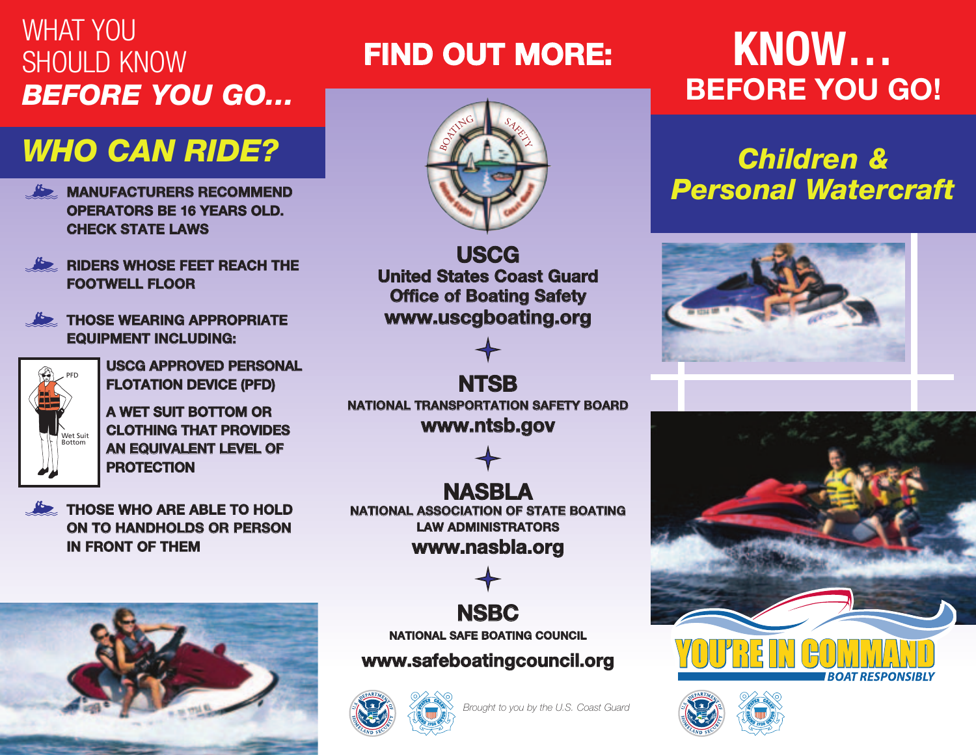#### WHAT YOU SHOULD KNOW *BEFORE YOU GO…*

### *WHO CAN RIDE?*

- **OPERATORS BE 16 YEARS OLD. CHECK STATE LAWS**
- **RIDERS WHOSE FEET REACH THE FOOTWELL FLOOR**
- **THOSE WEARING APPROPRIATE EQUIPMENT INCLUDING:**



**USCG APPROVED PERSONAL FLOTATION DEVICE (PFD)**

**A WET SUIT BOTTOM OR CLOTHING THAT PROVIDES AN EQUIVALENT LEVEL OF PROTECTION**

**THOSE WHO ARE ABLE TO HOLD ON TO HANDHOLDS OR PERSON IN FRONT OF THEM**



## **FIND OUT MORE: KNOW…**



**USCG United States Coast Guard Office of Boating Safety www.uscgboating.org**



**NTSB NATIONAL TRANSPORTATION SAFETY BOARD www.ntsb.gov**

**NASBLA NATIONAL ASSOCIATION OF STATE BOATING LAW ADMINISTRATORS www.nasbla.org**



**NATIONAL SAFE BOATING COUNCIL**

**www.safeboatingcouncil.org**



*Brought to you by the U.S. Coast Guard*

# **BEFORE YOU GO!**

#### *Children &* **EXAMPLE AND RECOMMEND** *Personal Watercraft*